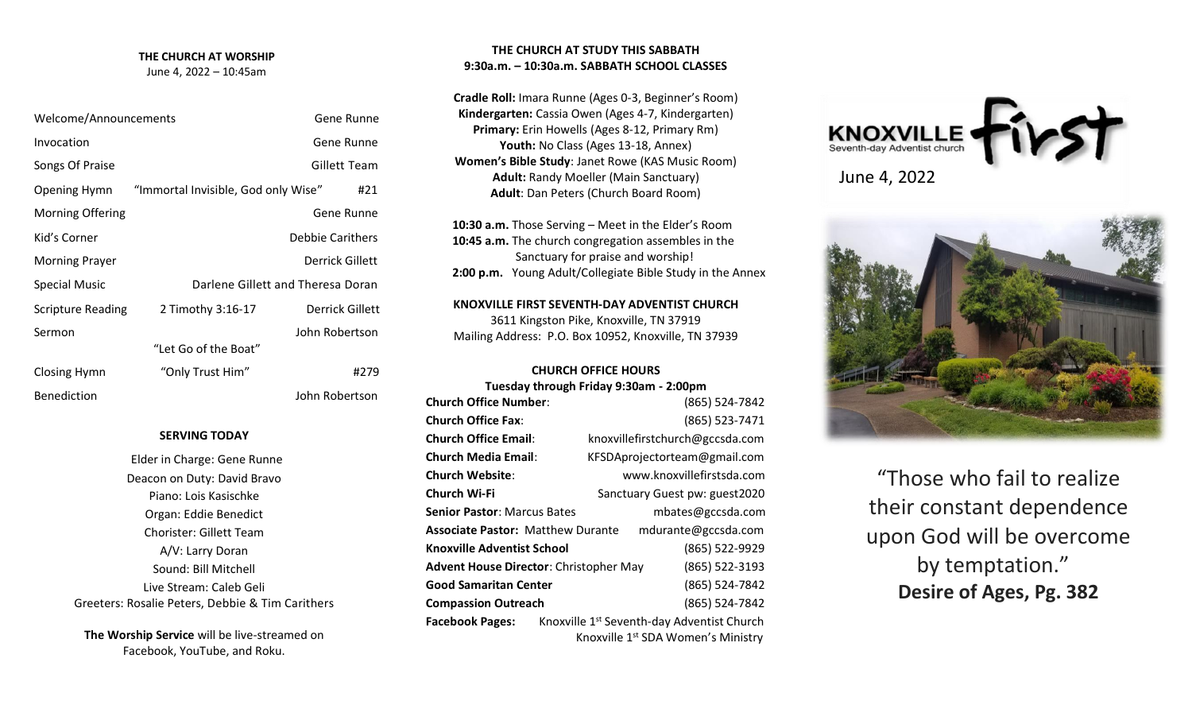# **THE CHURCH AT WORSHIP**

June 4, 2022 – 10:45am

| Welcome/Announcements    |                                     |                         | Gene Runne      |
|--------------------------|-------------------------------------|-------------------------|-----------------|
| Invocation               |                                     |                         | Gene Runne      |
| Songs Of Praise          |                                     |                         | Gillett Team    |
| Opening Hymn             | "Immortal Invisible, God only Wise" |                         | #21             |
| <b>Morning Offering</b>  |                                     |                         | Gene Runne      |
| Kid's Corner             |                                     | <b>Debbie Carithers</b> |                 |
| <b>Morning Prayer</b>    |                                     | Derrick Gillett         |                 |
| <b>Special Music</b>     | Darlene Gillett and Theresa Doran   |                         |                 |
| <b>Scripture Reading</b> | 2 Timothy 3:16-17                   |                         | Derrick Gillett |
| Sermon                   | "Let Go of the Boat"                | John Robertson          |                 |
|                          |                                     |                         |                 |
| Closing Hymn             | "Only Trust Him"                    |                         | #279            |
| <b>Benediction</b>       |                                     | John Robertson          |                 |

### **SERVING TODAY**

Elder in Charge: Gene Runne Deacon on Duty: David Bravo Piano: Lois Kasischke Organ: Eddie Benedict Chorister: Gillett Team A/V: Larry Doran Sound: Bill Mitchell Live Stream: Caleb Geli Greeters: Rosalie Peters, Debbie & Tim Carithers

**The Worship Service** will be live-streamed on Facebook, YouTube, and Roku.

# **THE CHURCH AT STUDY THIS SABBATH 9:30a.m. – 10:30a.m. SABBATH SCHOOL CLASSES**

**Cradle Roll:** Imara Runne (Ages 0-3, Beginner's Room) **Kindergarten:** Cassia Owen (Ages 4-7, Kindergarten) **Primary:** Erin Howells (Ages 8-12, Primary Rm) Youth: No Class (Ages 13-18, Annex) **Women's Bible Study**: Janet Rowe (KAS Music Room) **Adult:** Randy Moeller (Main Sanctuary) **Adult**: Dan Peters (Church Board Room)

 **10:30 a.m.** Those Serving – Meet in the Elder's Room  **10:45 a.m.** The church congregation assembles in the Sanctuary for praise and worship!  **2:00 p.m.** Young Adult/Collegiate Bible Study in the Annex

**KNOXVILLE FIRST SEVENTH-DAY ADVENTIST CHURCH** 3611 Kingston Pike, Knoxville, TN 37919 Mailing Address: P.O. Box 10952, Knoxville, TN 37939

#### **CHURCH OFFICE HOURS Tuesday through Friday 9:30am - 2:00pm**

|                                                                 | Tuesday through Friday 9:30am - 2:00pm                 |  |  |
|-----------------------------------------------------------------|--------------------------------------------------------|--|--|
| <b>Church Office Number:</b>                                    | (865) 524-7842                                         |  |  |
| <b>Church Office Fax:</b>                                       | (865) 523-7471                                         |  |  |
| <b>Church Office Email:</b>                                     | knoxvillefirstchurch@gccsda.com                        |  |  |
| Church Media Email:                                             | KFSDAprojectorteam@gmail.com                           |  |  |
| Church Website:                                                 | www.knoxvillefirstsda.com                              |  |  |
| Church Wi-Fi                                                    | Sanctuary Guest pw: guest2020                          |  |  |
| <b>Senior Pastor: Marcus Bates</b>                              | mbates@gccsda.com                                      |  |  |
| <b>Associate Pastor: Matthew Durante</b><br>mdurante@gccsda.com |                                                        |  |  |
| <b>Knoxville Adventist School</b>                               | (865) 522-9929                                         |  |  |
| Advent House Director: Christopher May                          | (865) 522-3193                                         |  |  |
| <b>Good Samaritan Center</b>                                    | (865) 524-7842                                         |  |  |
| <b>Compassion Outreach</b>                                      | (865) 524-7842                                         |  |  |
| <b>Facebook Pages:</b>                                          | Knoxville 1 <sup>st</sup> Seventh-day Adventist Church |  |  |
| Knoxville 1 <sup>st</sup> SDA Women's Ministry                  |                                                        |  |  |





"Those who fail to realize their constant dependence upon God will be overcome by temptation." **Desire of Ages, Pg. 382**